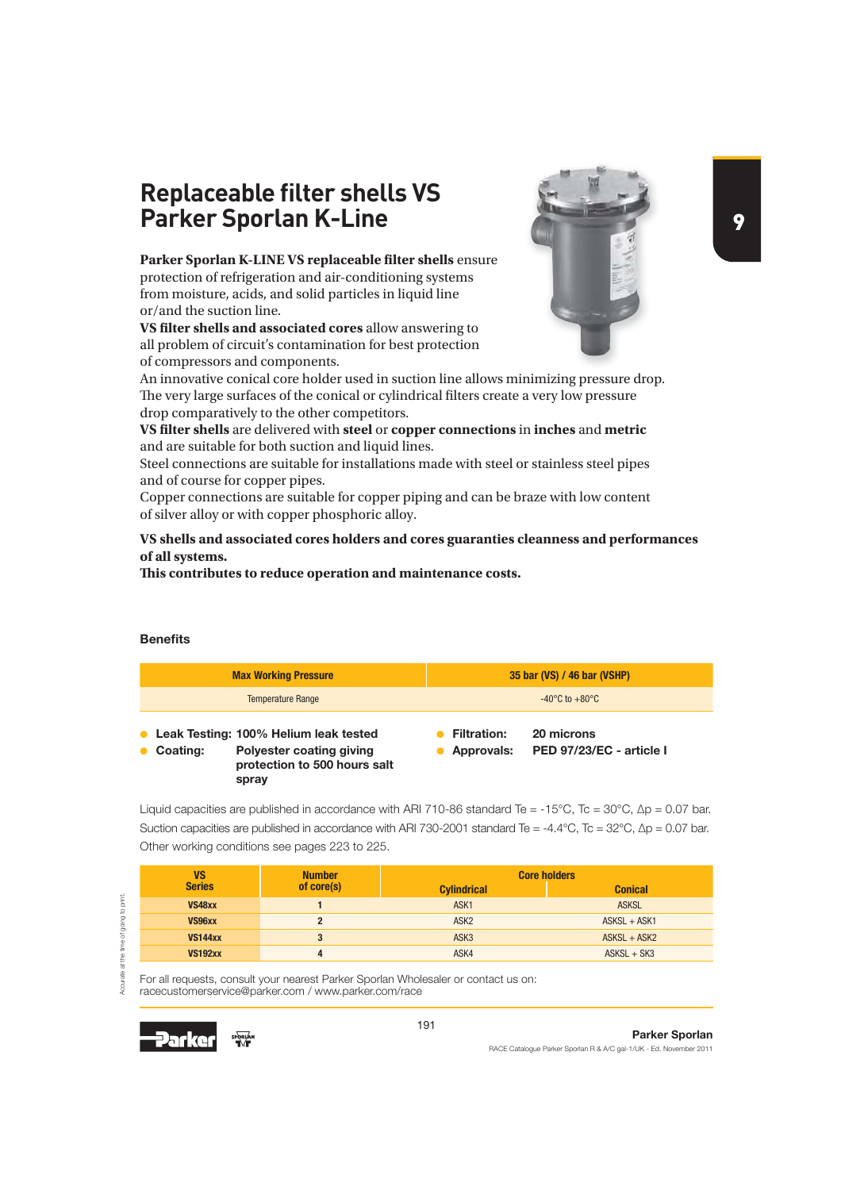# **Replaceable filter shells VS Parker Sporlan K-Line**

Parker Sporlan K-LINE VS replaceable filter shells ensure protection of refrigeration and air-conditioning systems from moisture, acids, and solid particles in liquid line or/and the suction line.

**VS filter shells and associated cores** allow answering to all problem of circuit's contamination for best protection of compressors and components.



An innovative conical core holder used in suction line allows minimizing pressure drop. The very large surfaces of the conical or cylindrical filters create a very low pressure drop comparatively to the other competitors.

**VS lter shells** are delivered with **steel** or **copper connections** in **inches** and **metric** and are suitable for both suction and liquid lines.

Steel connections are suitable for installations made with steel or stainless steel pipes and of course for copper pipes.

Copper connections are suitable for copper piping and can be braze with low content of silver alloy or with copper phosphoric alloy.

### **VS shells and associated cores holders and cores guaranties cleanness and performances of all systems.**

**! is contributes to reduce operation and maintenance costs.**

### **Benefits**

| <b>Max Working Pressure</b>                                                                                            | 35 bar (VS) / 46 bar (VSHP)                                                |
|------------------------------------------------------------------------------------------------------------------------|----------------------------------------------------------------------------|
| <b>Temperature Range</b>                                                                                               | $-40^{\circ}$ C to $+80^{\circ}$ C                                         |
| Leak Testing: 100% Helium leak tested<br>Polyester coating giving<br>Coating:<br>protection to 500 hours salt<br>spray | 20 microns<br><b>Filtration:</b><br>PED 97/23/EC - article I<br>Approvals: |

Liquid capacities are published in accordance with ARI 710-86 standard Te = -15°C, Tc = 30°C,  $\Delta p = 0.07$  bar. Suction capacities are published in accordance with ARI 730-2001 standard Te = -4.4°C, Tc = 32°C, Δp = 0.07 bar. Other working conditions see pages 223 to 225.

| VS             | <b>Number</b> | <b>Core holders</b> |                |
|----------------|---------------|---------------------|----------------|
| <b>Series</b>  | of core(s)    | <b>Cylindrical</b>  | <b>Conical</b> |
| VS48xx         |               | ASK <sub>1</sub>    | <b>ASKSL</b>   |
| VS96xx         |               | ASK <sub>2</sub>    | $ASKSL + ASK1$ |
| <b>VS144xx</b> | 3             | ASK <sub>3</sub>    | $ASKSL + ASK2$ |
| <b>VS192xx</b> |               | ASK4                | $ASKSL + SK3$  |

For all requests, consult your nearest Parker Sporlan Wholesaler or contact us on: racecustomerservice@parker.com / www.parker.com/race



Accurate at the time of going to print.

urate at the time of going to print.

Š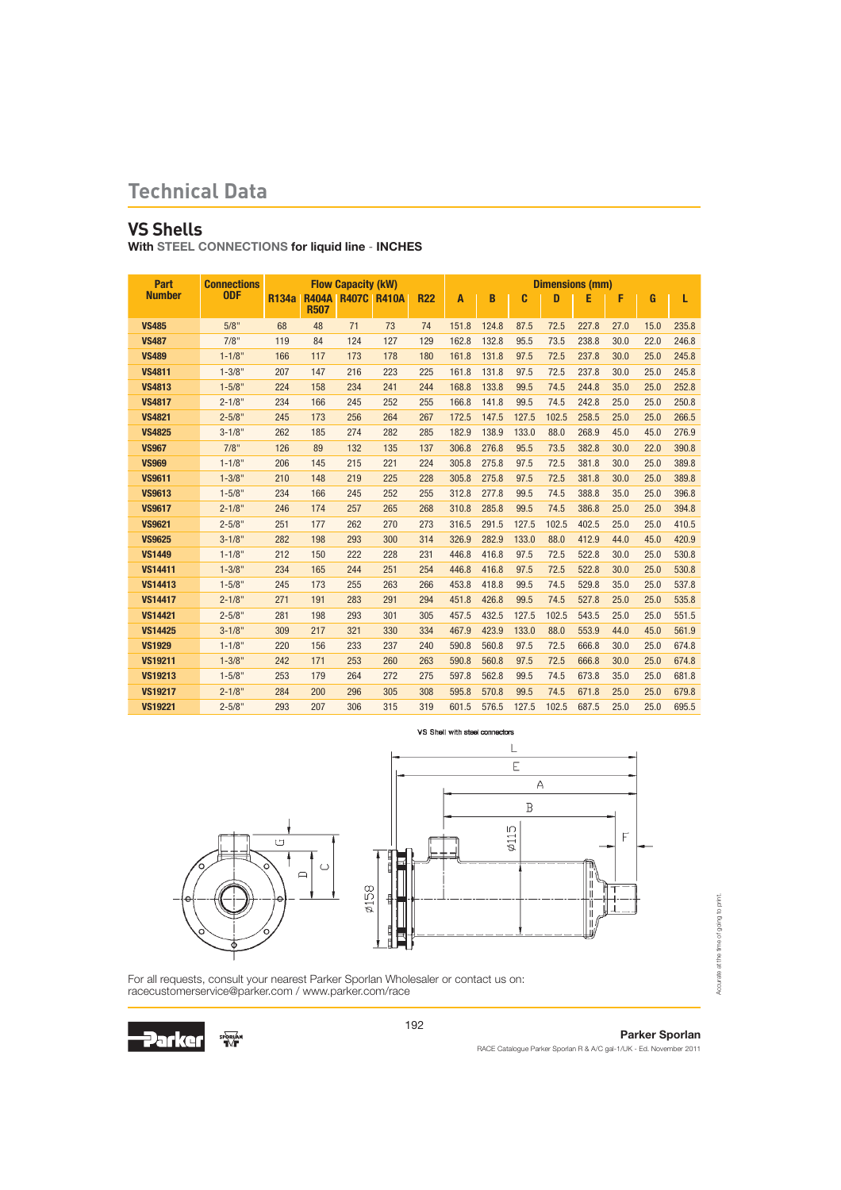### **VS Shells**

With STEEL CONNECTIONS for liquid line - INCHES

| Part           | <b>Connections</b> |              | <b>Flow Capacity (kW)</b><br><b>R404A R407C R410A</b><br><b>R22</b> |     |     |     |       |       |       |              | <b>Dimensions (mm)</b> |      |      |       |
|----------------|--------------------|--------------|---------------------------------------------------------------------|-----|-----|-----|-------|-------|-------|--------------|------------------------|------|------|-------|
| <b>Number</b>  | <b>ODF</b>         | <b>R134a</b> | <b>R507</b>                                                         |     |     |     | A     | B     | C     | $\mathbf{D}$ | E                      | F    | G    | L     |
| <b>VS485</b>   | 5/8"               | 68           | 48                                                                  | 71  | 73  | 74  | 151.8 | 124.8 | 87.5  | 72.5         | 227.8                  | 27.0 | 15.0 | 235.8 |
| <b>VS487</b>   | 7/8"               | 119          | 84                                                                  | 124 | 127 | 129 | 162.8 | 132.8 | 95.5  | 73.5         | 238.8                  | 30.0 | 22.0 | 246.8 |
| <b>VS489</b>   | $1 - 1/8"$         | 166          | 117                                                                 | 173 | 178 | 180 | 161.8 | 131.8 | 97.5  | 72.5         | 237.8                  | 30.0 | 25.0 | 245.8 |
| <b>VS4811</b>  | $1 - 3/8"$         | 207          | 147                                                                 | 216 | 223 | 225 | 161.8 | 131.8 | 97.5  | 72.5         | 237.8                  | 30.0 | 25.0 | 245.8 |
| <b>VS4813</b>  | $1 - 5/8"$         | 224          | 158                                                                 | 234 | 241 | 244 | 168.8 | 133.8 | 99.5  | 74.5         | 244.8                  | 35.0 | 25.0 | 252.8 |
| <b>VS4817</b>  | $2 - 1/8"$         | 234          | 166                                                                 | 245 | 252 | 255 | 166.8 | 141.8 | 99.5  | 74.5         | 242.8                  | 25.0 | 25.0 | 250.8 |
| <b>VS4821</b>  | $2 - 5/8"$         | 245          | 173                                                                 | 256 | 264 | 267 | 172.5 | 147.5 | 127.5 | 102.5        | 258.5                  | 25.0 | 25.0 | 266.5 |
| <b>VS4825</b>  | $3 - 1/8"$         | 262          | 185                                                                 | 274 | 282 | 285 | 182.9 | 138.9 | 133.0 | 88.0         | 268.9                  | 45.0 | 45.0 | 276.9 |
| <b>VS967</b>   | 7/8"               | 126          | 89                                                                  | 132 | 135 | 137 | 306.8 | 276.8 | 95.5  | 73.5         | 382.8                  | 30.0 | 22.0 | 390.8 |
| <b>VS969</b>   | $1 - 1/8"$         | 206          | 145                                                                 | 215 | 221 | 224 | 305.8 | 275.8 | 97.5  | 72.5         | 381.8                  | 30.0 | 25.0 | 389.8 |
| <b>VS9611</b>  | $1 - 3/8"$         | 210          | 148                                                                 | 219 | 225 | 228 | 305.8 | 275.8 | 97.5  | 72.5         | 381.8                  | 30.0 | 25.0 | 389.8 |
| <b>VS9613</b>  | $1 - 5/8"$         | 234          | 166                                                                 | 245 | 252 | 255 | 312.8 | 277.8 | 99.5  | 74.5         | 388.8                  | 35.0 | 25.0 | 396.8 |
| <b>VS9617</b>  | $2 - 1/8"$         | 246          | 174                                                                 | 257 | 265 | 268 | 310.8 | 285.8 | 99.5  | 74.5         | 386.8                  | 25.0 | 25.0 | 394.8 |
| <b>VS9621</b>  | $2 - 5/8"$         | 251          | 177                                                                 | 262 | 270 | 273 | 316.5 | 291.5 | 127.5 | 102.5        | 402.5                  | 25.0 | 25.0 | 410.5 |
| <b>VS9625</b>  | $3 - 1/8"$         | 282          | 198                                                                 | 293 | 300 | 314 | 326.9 | 282.9 | 133.0 | 88.0         | 412.9                  | 44.0 | 45.0 | 420.9 |
| <b>VS1449</b>  | $1 - 1/8"$         | 212          | 150                                                                 | 222 | 228 | 231 | 446.8 | 416.8 | 97.5  | 72.5         | 522.8                  | 30.0 | 25.0 | 530.8 |
| <b>VS14411</b> | $1 - 3/8"$         | 234          | 165                                                                 | 244 | 251 | 254 | 446.8 | 416.8 | 97.5  | 72.5         | 522.8                  | 30.0 | 25.0 | 530.8 |
| <b>VS14413</b> | $1 - 5/8"$         | 245          | 173                                                                 | 255 | 263 | 266 | 453.8 | 418.8 | 99.5  | 74.5         | 529.8                  | 35.0 | 25.0 | 537.8 |
| <b>VS14417</b> | $2 - 1/8"$         | 271          | 191                                                                 | 283 | 291 | 294 | 451.8 | 426.8 | 99.5  | 74.5         | 527.8                  | 25.0 | 25.0 | 535.8 |
| <b>VS14421</b> | $2 - 5/8"$         | 281          | 198                                                                 | 293 | 301 | 305 | 457.5 | 432.5 | 127.5 | 102.5        | 543.5                  | 25.0 | 25.0 | 551.5 |
| <b>VS14425</b> | $3 - 1/8"$         | 309          | 217                                                                 | 321 | 330 | 334 | 467.9 | 423.9 | 133.0 | 88.0         | 553.9                  | 44.0 | 45.0 | 561.9 |
| <b>VS1929</b>  | $1 - 1/8"$         | 220          | 156                                                                 | 233 | 237 | 240 | 590.8 | 560.8 | 97.5  | 72.5         | 666.8                  | 30.0 | 25.0 | 674.8 |
| <b>VS19211</b> | $1 - 3/8"$         | 242          | 171                                                                 | 253 | 260 | 263 | 590.8 | 560.8 | 97.5  | 72.5         | 666.8                  | 30.0 | 25.0 | 674.8 |
| <b>VS19213</b> | $1 - 5/8"$         | 253          | 179                                                                 | 264 | 272 | 275 | 597.8 | 562.8 | 99.5  | 74.5         | 673.8                  | 35.0 | 25.0 | 681.8 |
| <b>VS19217</b> | $2 - 1/8"$         | 284          | 200                                                                 | 296 | 305 | 308 | 595.8 | 570.8 | 99.5  | 74.5         | 671.8                  | 25.0 | 25.0 | 679.8 |
| <b>VS19221</b> | $2 - 5/8"$         | 293          | 207                                                                 | 306 | 315 | 319 | 601.5 | 576.5 | 127.5 | 102.5        | 687.5                  | 25.0 | 25.0 | 695.5 |





For all requests, consult your nearest Parker Sporlan Wholesaler or contact us on: racecustomerservice@parker.com / www.parker.com/race

192



Accurate at the time of going to print.

Accurate at the time of going to print.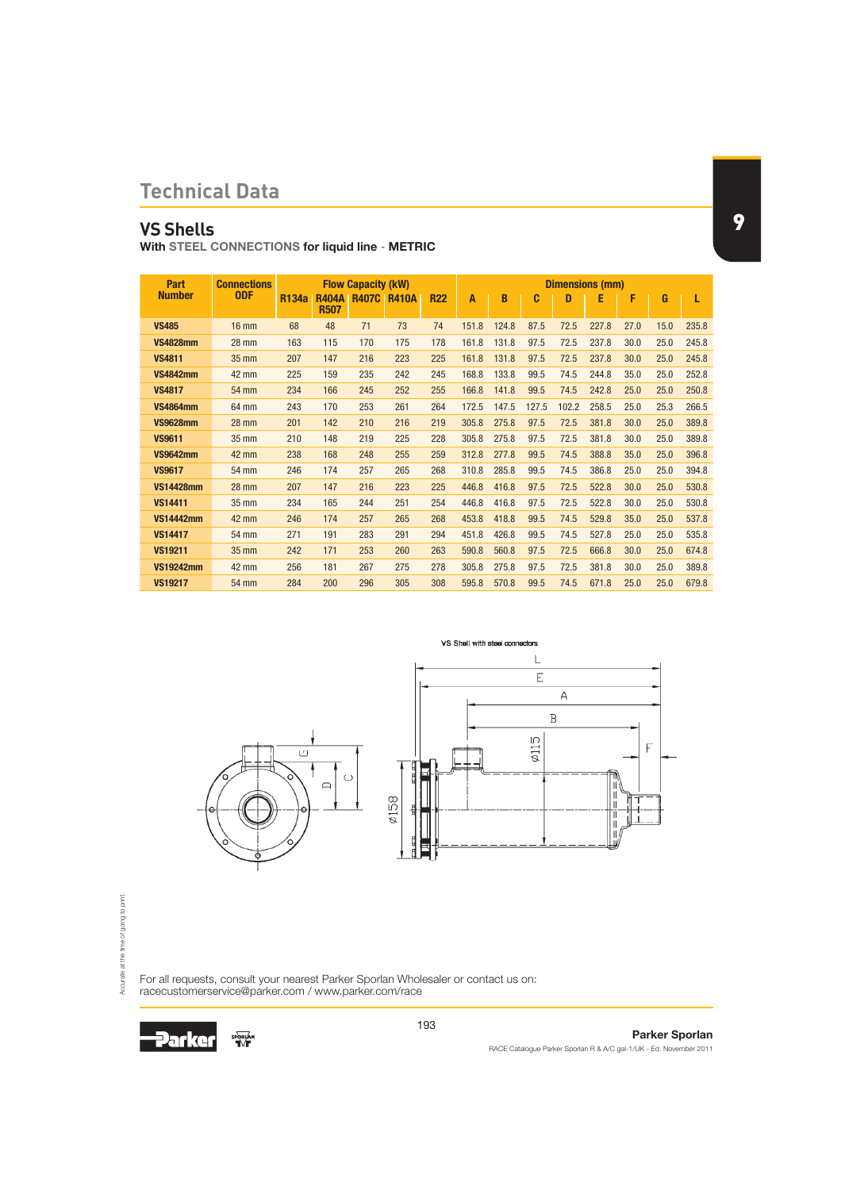# **VS Shells**

With STEEL CONNECTIONS for liquid line - METRIC

| Part             | <b>Connections</b> |              | <b>Flow Capacity (kW)</b>   |              |              |            |       |       |       |       | <b>Dimensions (mm)</b> |      |      |       |
|------------------|--------------------|--------------|-----------------------------|--------------|--------------|------------|-------|-------|-------|-------|------------------------|------|------|-------|
| <b>Number</b>    | <b>ODF</b>         | <b>R134a</b> | <b>R404A</b><br><b>R507</b> | <b>R407C</b> | <b>R410A</b> | <b>R22</b> | A     | B     | C     | D     | Е                      | F    | G    | L     |
| <b>VS485</b>     | $16$ mm            | 68           | 48                          | 71           | 73           | 74         | 151.8 | 124.8 | 87.5  | 72.5  | 227.8                  | 27.0 | 15.0 | 235.8 |
| <b>VS4828mm</b>  | <b>28 mm</b>       | 163          | 115                         | 170          | 175          | 178        | 161.8 | 131.8 | 97.5  | 72.5  | 237.8                  | 30.0 | 25.0 | 245.8 |
| <b>VS4811</b>    | 35 mm              | 207          | 147                         | 216          | 223          | 225        | 161.8 | 131.8 | 97.5  | 72.5  | 237.8                  | 30.0 | 25.0 | 245.8 |
| <b>VS4842mm</b>  | 42 mm              | 225          | 159                         | 235          | 242          | 245        | 168.8 | 133.8 | 99.5  | 74.5  | 244.8                  | 35.0 | 25.0 | 252.8 |
| <b>VS4817</b>    | 54 mm              | 234          | 166                         | 245          | 252          | 255        | 166.8 | 141.8 | 99.5  | 74.5  | 242.8                  | 25.0 | 25.0 | 250.8 |
| <b>VS4864mm</b>  | 64 mm              | 243          | 170                         | 253          | 261          | 264        | 172.5 | 147.5 | 127.5 | 102.2 | 258.5                  | 25.0 | 25.3 | 266.5 |
| <b>VS9628mm</b>  | <b>28 mm</b>       | 201          | 142                         | 210          | 216          | 219        | 305.8 | 275.8 | 97.5  | 72.5  | 381.8                  | 30.0 | 25.0 | 389.8 |
| <b>VS9611</b>    | 35 mm              | 210          | 148                         | 219          | 225          | 228        | 305.8 | 275.8 | 97.5  | 72.5  | 381.8                  | 30.0 | 25.0 | 389.8 |
| <b>VS9642mm</b>  | 42 mm              | 238          | 168                         | 248          | 255          | 259        | 312.8 | 277.8 | 99.5  | 74.5  | 388.8                  | 35.0 | 25.0 | 396.8 |
| <b>VS9617</b>    | <b>54 mm</b>       | 246          | 174                         | 257          | 265          | 268        | 310.8 | 285.8 | 99.5  | 74.5  | 386.8                  | 25.0 | 25.0 | 394.8 |
| <b>VS14428mm</b> | <b>28 mm</b>       | 207          | 147                         | 216          | 223          | 225        | 446.8 | 416.8 | 97.5  | 72.5  | 522.8                  | 30.0 | 25.0 | 530.8 |
| <b>VS14411</b>   | 35 mm              | 234          | 165                         | 244          | 251          | 254        | 446.8 | 416.8 | 97.5  | 72.5  | 522.8                  | 30.0 | 25.0 | 530.8 |
| <b>VS14442mm</b> | 42 mm              | 246          | 174                         | 257          | 265          | 268        | 453.8 | 418.8 | 99.5  | 74.5  | 529.8                  | 35.0 | 25.0 | 537.8 |
| <b>VS14417</b>   | 54 mm              | 271          | 191                         | 283          | 291          | 294        | 451.8 | 426.8 | 99.5  | 74.5  | 527.8                  | 25.0 | 25.0 | 535.8 |
| <b>VS19211</b>   | 35 mm              | 242          | 171                         | 253          | 260          | 263        | 590.8 | 560.8 | 97.5  | 72.5  | 666.8                  | 30.0 | 25.0 | 674.8 |
| <b>VS19242mm</b> | <b>42 mm</b>       | 256          | 181                         | 267          | 275          | 278        | 305.8 | 275.8 | 97.5  | 72.5  | 381.8                  | 30.0 | 25.0 | 389.8 |
| <b>VS19217</b>   | 54 mm              | 284          | 200                         | 296          | 305          | 308        | 595.8 | 570.8 | 99.5  | 74.5  | 671.8                  | 25.0 | 25.0 | 679.8 |



For all requests, consult your nearest Parker Sporlan Wholesaler or contact us on: racecustomerservice@parker.com / www.parker.com/race



193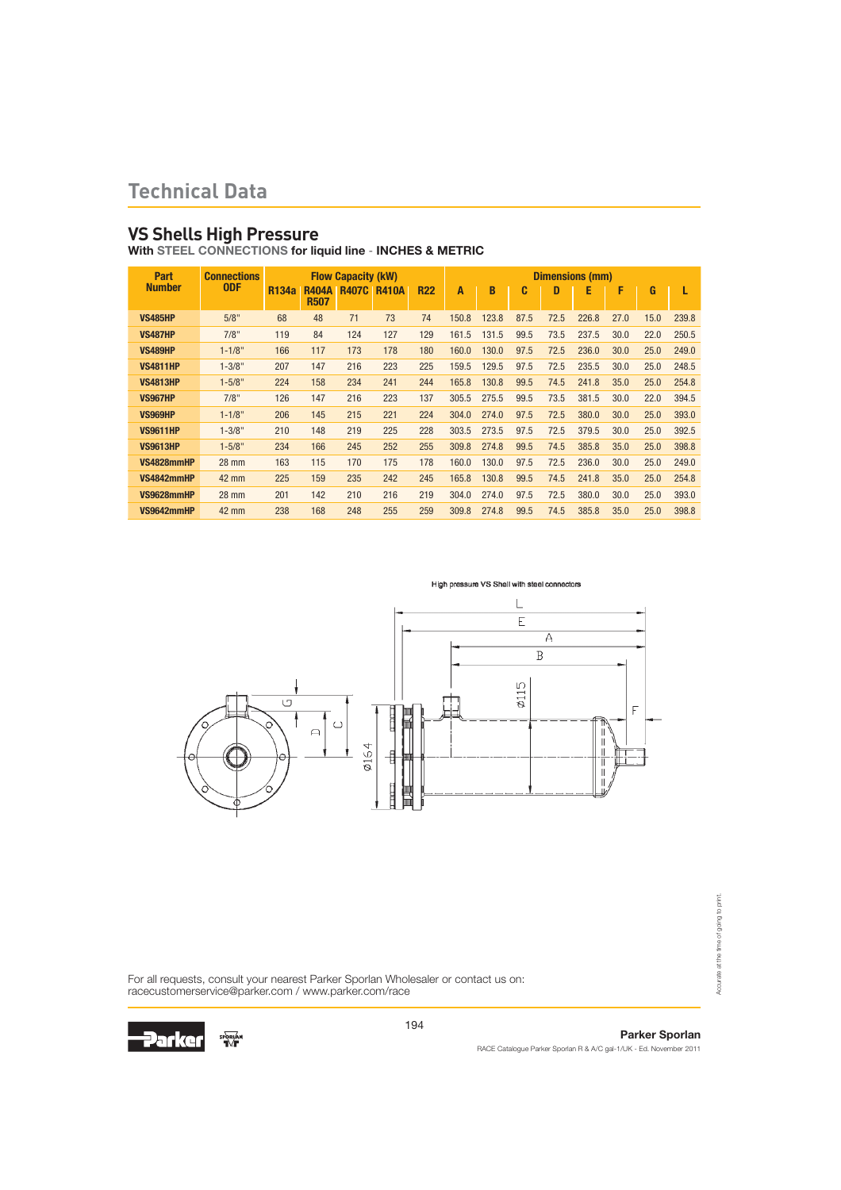### **VS Shells High Pressure**

With STEEL CONNECTIONS for liquid line - INCHES & METRIC

| Part            | <b>Connections</b> |                   |                             | <b>Flow Capacity (kW)</b> |              |            |       |       |      |      | <b>Dimensions (mm)</b> |      |      |       |
|-----------------|--------------------|-------------------|-----------------------------|---------------------------|--------------|------------|-------|-------|------|------|------------------------|------|------|-------|
| <b>Number</b>   | <b>ODF</b>         | R <sub>134a</sub> | <b>R404A</b><br><b>R507</b> | <b>R407C</b>              | <b>R410A</b> | <b>R22</b> | A     | B     | C    | D    | E                      | F    | G    | L     |
| <b>VS485HP</b>  | 5/8"               | 68                | 48                          | 71                        | 73           | 74         | 150.8 | 123.8 | 87.5 | 72.5 | 226.8                  | 27.0 | 15.0 | 239.8 |
| <b>VS487HP</b>  | 7/8"               | 119               | 84                          | 124                       | 127          | 129        | 161.5 | 131.5 | 99.5 | 73.5 | 237.5                  | 30.0 | 22.0 | 250.5 |
| <b>VS489HP</b>  | $1 - 1/8"$         | 166               | 117                         | 173                       | 178          | 180        | 160.0 | 130.0 | 97.5 | 72.5 | 236.0                  | 30.0 | 25.0 | 249.0 |
| <b>VS4811HP</b> | $1 - 3/8"$         | 207               | 147                         | 216                       | 223          | 225        | 159.5 | 129.5 | 97.5 | 72.5 | 235.5                  | 30.0 | 25.0 | 248.5 |
| <b>VS4813HP</b> | $1 - 5/8"$         | 224               | 158                         | 234                       | 241          | 244        | 165.8 | 130.8 | 99.5 | 74.5 | 241.8                  | 35.0 | 25.0 | 254.8 |
| <b>VS967HP</b>  | 7/8"               | 126               | 147                         | 216                       | 223          | 137        | 305.5 | 275.5 | 99.5 | 73.5 | 381.5                  | 30.0 | 22.0 | 394.5 |
| <b>VS969HP</b>  | $1 - 1/8"$         | 206               | 145                         | 215                       | 221          | 224        | 304.0 | 274.0 | 97.5 | 72.5 | 380.0                  | 30.0 | 25.0 | 393.0 |
| <b>VS9611HP</b> | $1 - 3/8"$         | 210               | 148                         | 219                       | 225          | 228        | 303.5 | 273.5 | 97.5 | 72.5 | 379.5                  | 30.0 | 25.0 | 392.5 |
| <b>VS9613HP</b> | $1 - 5/8"$         | 234               | 166                         | 245                       | 252          | 255        | 309.8 | 274.8 | 99.5 | 74.5 | 385.8                  | 35.0 | 25.0 | 398.8 |
| VS4828mmHP      | 28 mm              | 163               | 115                         | 170                       | 175          | 178        | 160.0 | 130.0 | 97.5 | 72.5 | 236.0                  | 30.0 | 25.0 | 249.0 |
| VS4842mmHP      | 42 mm              | 225               | 159                         | 235                       | 242          | 245        | 165.8 | 130.8 | 99.5 | 74.5 | 241.8                  | 35.0 | 25.0 | 254.8 |
| VS9628mmHP      | 28 mm              | 201               | 142                         | 210                       | 216          | 219        | 304.0 | 274.0 | 97.5 | 72.5 | 380.0                  | 30.0 | 25.0 | 393.0 |
| VS9642mmHP      | 42 mm              | 238               | 168                         | 248                       | 255          | 259        | 309.8 | 274.8 | 99.5 | 74.5 | 385.8                  | 35.0 | 25.0 | 398.8 |





For all requests, consult your nearest Parker Sporlan Wholesaler or contact us on: racecustomerservice@parker.com / www.parker.com/race



194

### Parker Sporlan

Accurate at the time of going to print.

Accurate at the time of going to print.

RACE Catalogue Parker Sporlan R & A/C gal-1/UK - Ed. November 2011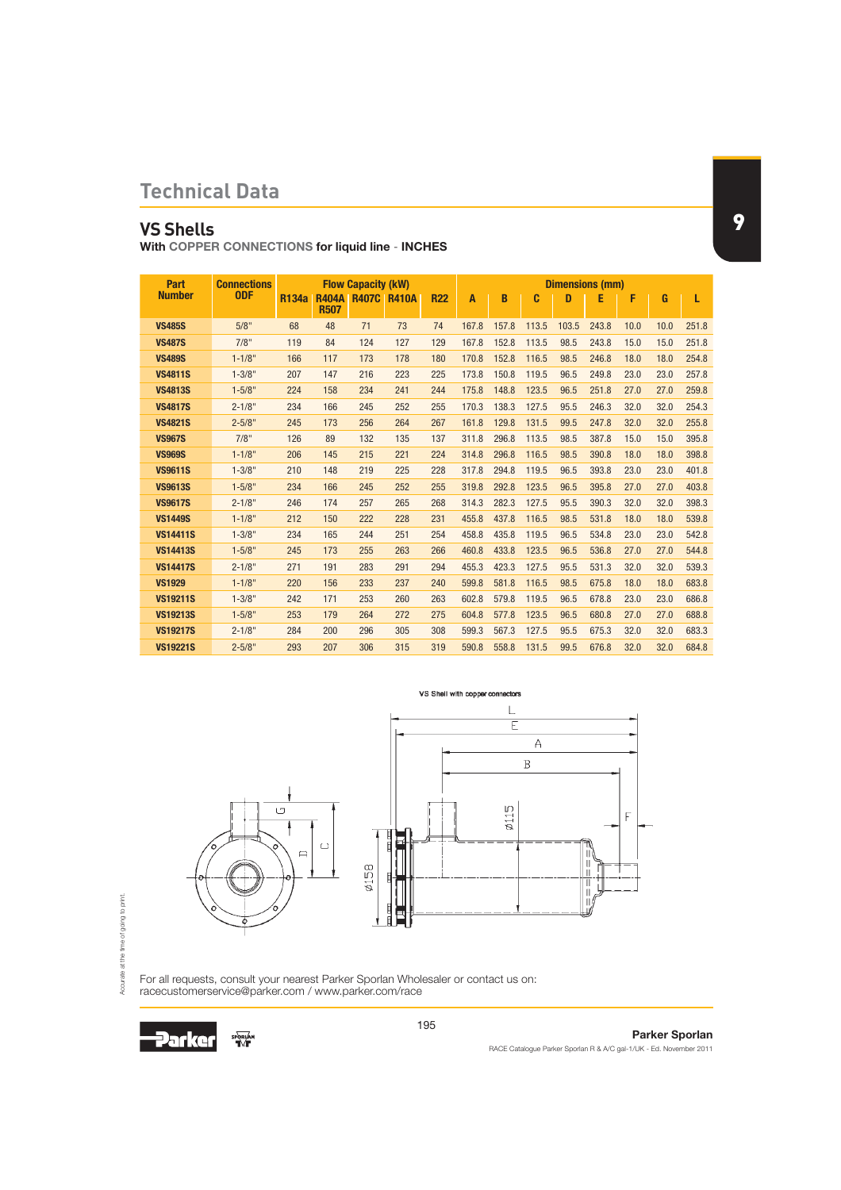# **VS Shells**

With COPPER CONNECTIONS for liquid line - INCHES

| Part            | <b>Connections</b> |              |                                         | <b>Flow Capacity (kW)</b> |     |            |       |       |       |       | <b>Dimensions (mm)</b> |      |      |       |
|-----------------|--------------------|--------------|-----------------------------------------|---------------------------|-----|------------|-------|-------|-------|-------|------------------------|------|------|-------|
| <b>Number</b>   | <b>ODF</b>         | <b>R134a</b> | <b>R404A R407C R410A</b><br><b>R507</b> |                           |     | <b>R22</b> | A     | B     | C     | n     | E                      | F    | G    | L     |
| <b>VS485S</b>   | 5/8"               | 68           | 48                                      | 71                        | 73  | 74         | 167.8 | 157.8 | 113.5 | 103.5 | 243.8                  | 10.0 | 10.0 | 251.8 |
| <b>VS487S</b>   | 7/8"               | 119          | 84                                      | 124                       | 127 | 129        | 167.8 | 152.8 | 113.5 | 98.5  | 243.8                  | 15.0 | 15.0 | 251.8 |
| <b>VS489S</b>   | $1 - 1/8"$         | 166          | 117                                     | 173                       | 178 | 180        | 170.8 | 152.8 | 116.5 | 98.5  | 246.8                  | 18.0 | 18.0 | 254.8 |
| <b>VS4811S</b>  | $1 - 3/8"$         | 207          | 147                                     | 216                       | 223 | 225        | 173.8 | 150.8 | 119.5 | 96.5  | 249.8                  | 23.0 | 23.0 | 257.8 |
| <b>VS4813S</b>  | $1 - 5/8"$         | 224          | 158                                     | 234                       | 241 | 244        | 175.8 | 148.8 | 123.5 | 96.5  | 251.8                  | 27.0 | 27.0 | 259.8 |
| <b>VS4817S</b>  | $2 - 1/8"$         | 234          | 166                                     | 245                       | 252 | 255        | 170.3 | 138.3 | 127.5 | 95.5  | 246.3                  | 32.0 | 32.0 | 254.3 |
| <b>VS4821S</b>  | $2 - 5/8"$         | 245          | 173                                     | 256                       | 264 | 267        | 161.8 | 129.8 | 131.5 | 99.5  | 247.8                  | 32.0 | 32.0 | 255.8 |
| <b>VS967S</b>   | 7/8"               | 126          | 89                                      | 132                       | 135 | 137        | 311.8 | 296.8 | 113.5 | 98.5  | 387.8                  | 15.0 | 15.0 | 395.8 |
| <b>VS969S</b>   | $1 - 1/8"$         | 206          | 145                                     | 215                       | 221 | 224        | 314.8 | 296.8 | 116.5 | 98.5  | 390.8                  | 18.0 | 18.0 | 398.8 |
| <b>VS9611S</b>  | $1 - 3/8"$         | 210          | 148                                     | 219                       | 225 | 228        | 317.8 | 294.8 | 119.5 | 96.5  | 393.8                  | 23.0 | 23.0 | 401.8 |
| <b>VS9613S</b>  | $1 - 5/8"$         | 234          | 166                                     | 245                       | 252 | 255        | 319.8 | 292.8 | 123.5 | 96.5  | 395.8                  | 27.0 | 27.0 | 403.8 |
| <b>VS9617S</b>  | $2 - 1/8"$         | 246          | 174                                     | 257                       | 265 | 268        | 314.3 | 282.3 | 127.5 | 95.5  | 390.3                  | 32.0 | 32.0 | 398.3 |
| <b>VS1449S</b>  | $1 - 1/8"$         | 212          | 150                                     | 222                       | 228 | 231        | 455.8 | 437.8 | 116.5 | 98.5  | 531.8                  | 18.0 | 18.0 | 539.8 |
| <b>VS14411S</b> | $1 - 3/8"$         | 234          | 165                                     | 244                       | 251 | 254        | 458.8 | 435.8 | 119.5 | 96.5  | 534.8                  | 23.0 | 23.0 | 542.8 |
| <b>VS14413S</b> | $1 - 5/8"$         | 245          | 173                                     | 255                       | 263 | 266        | 460.8 | 433.8 | 123.5 | 96.5  | 536.8                  | 27.0 | 27.0 | 544.8 |
| <b>VS14417S</b> | $2 - 1/8"$         | 271          | 191                                     | 283                       | 291 | 294        | 455.3 | 423.3 | 127.5 | 95.5  | 531.3                  | 32.0 | 32.0 | 539.3 |
| <b>VS1929</b>   | $1 - 1/8"$         | 220          | 156                                     | 233                       | 237 | 240        | 599.8 | 581.8 | 116.5 | 98.5  | 675.8                  | 18.0 | 18.0 | 683.8 |
| <b>VS19211S</b> | $1 - 3/8"$         | 242          | 171                                     | 253                       | 260 | 263        | 602.8 | 579.8 | 119.5 | 96.5  | 678.8                  | 23.0 | 23.0 | 686.8 |
| <b>VS19213S</b> | $1 - 5/8"$         | 253          | 179                                     | 264                       | 272 | 275        | 604.8 | 577.8 | 123.5 | 96.5  | 680.8                  | 27.0 | 27.0 | 688.8 |
| <b>VS19217S</b> | $2 - 1/8"$         | 284          | 200                                     | 296                       | 305 | 308        | 599.3 | 567.3 | 127.5 | 95.5  | 675.3                  | 32.0 | 32.0 | 683.3 |
| <b>VS19221S</b> | $2 - 5/8"$         | 293          | 207                                     | 306                       | 315 | 319        | 590.8 | 558.8 | 131.5 | 99.5  | 676.8                  | 32.0 | 32.0 | 684.8 |





For all requests, consult your nearest Parker Sporlan Wholesaler or contact us on: racecustomerservice@parker.com / www.parker.com/race



195

#### Parker Sporlan RACE Catalogue Parker Sporlan R & A/C gal-1/UK - Ed. November 2011

9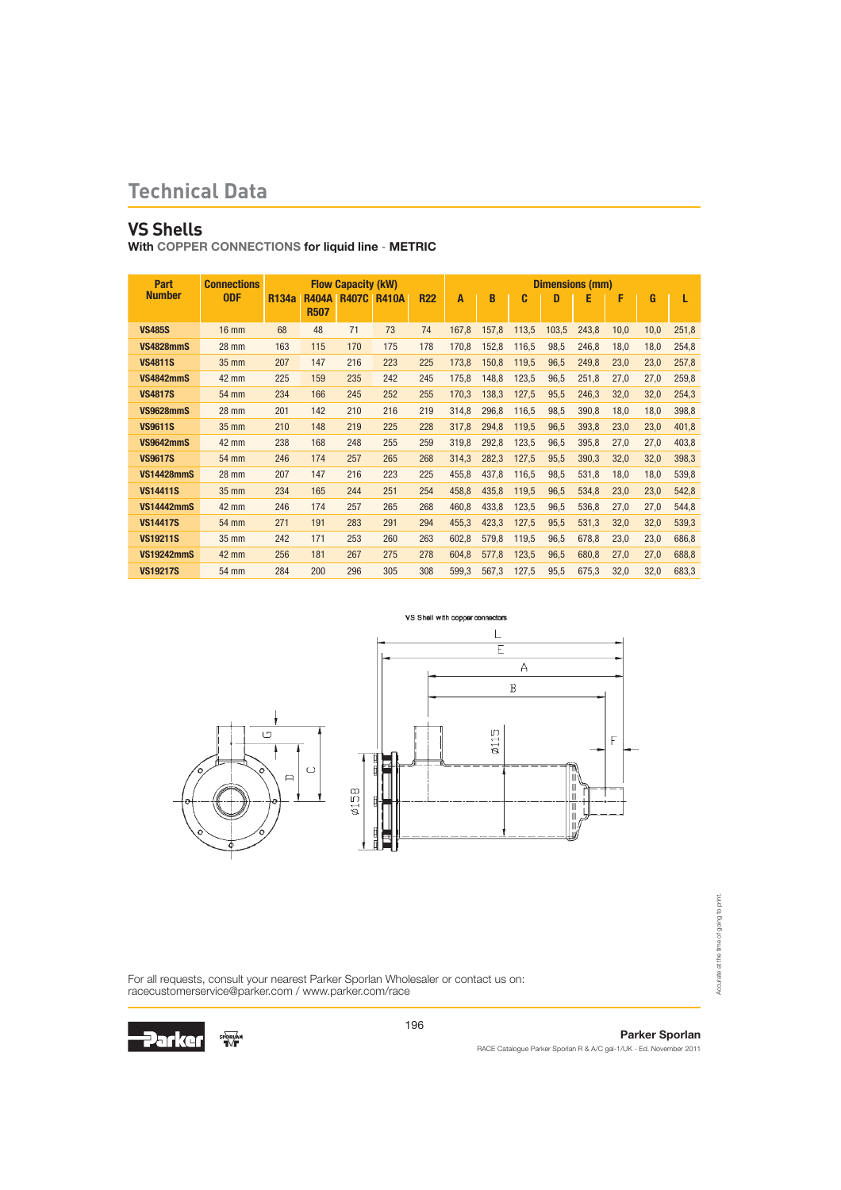# **VS Shells**

With COPPER CONNECTIONS for liquid line - METRIC

| Part              | <b>Connections</b> |              |                             | <b>Flow Capacity (kW)</b> |              |            |       |       |       |       | <b>Dimensions (mm)</b> |      |      |       |
|-------------------|--------------------|--------------|-----------------------------|---------------------------|--------------|------------|-------|-------|-------|-------|------------------------|------|------|-------|
| <b>Number</b>     | <b>ODF</b>         | <b>R134a</b> | <b>R404A</b><br><b>R507</b> | <b>R407C</b>              | <b>R410A</b> | <b>R22</b> | A     | B     | C     | D     | E                      | F    | G    | L     |
|                   |                    |              |                             |                           |              |            |       |       |       |       |                        |      |      |       |
| <b>VS485S</b>     | $16 \text{ mm}$    | 68           | 48                          | 71                        | 73           | 74         | 167,8 | 157,8 | 113,5 | 103,5 | 243,8                  | 10,0 | 10,0 | 251,8 |
| <b>VS4828mmS</b>  | 28 mm              | 163          | 115                         | 170                       | 175          | 178        | 170,8 | 152,8 | 116,5 | 98,5  | 246,8                  | 18,0 | 18,0 | 254,8 |
| <b>VS4811S</b>    | 35 mm              | 207          | 147                         | 216                       | 223          | 225        | 173,8 | 150,8 | 119,5 | 96,5  | 249,8                  | 23,0 | 23,0 | 257,8 |
| <b>VS4842mmS</b>  | 42 mm              | 225          | 159                         | 235                       | 242          | 245        | 175,8 | 148,8 | 123,5 | 96,5  | 251,8                  | 27,0 | 27,0 | 259,8 |
| <b>VS4817S</b>    | 54 mm              | 234          | 166                         | 245                       | 252          | 255        | 170,3 | 138,3 | 127,5 | 95,5  | 246,3                  | 32,0 | 32,0 | 254,3 |
| <b>VS9628mmS</b>  | 28 mm              | 201          | 142                         | 210                       | 216          | 219        | 314,8 | 296,8 | 116,5 | 98,5  | 390,8                  | 18,0 | 18,0 | 398,8 |
| <b>VS9611S</b>    | 35 mm              | 210          | 148                         | 219                       | 225          | 228        | 317,8 | 294,8 | 119,5 | 96,5  | 393,8                  | 23,0 | 23,0 | 401,8 |
| <b>VS9642mmS</b>  | 42 mm              | 238          | 168                         | 248                       | 255          | 259        | 319,8 | 292,8 | 123,5 | 96,5  | 395,8                  | 27,0 | 27,0 | 403,8 |
| <b>VS9617S</b>    | 54 mm              | 246          | 174                         | 257                       | 265          | 268        | 314,3 | 282,3 | 127,5 | 95,5  | 390,3                  | 32,0 | 32,0 | 398,3 |
| <b>VS14428mmS</b> | 28 mm              | 207          | 147                         | 216                       | 223          | 225        | 455,8 | 437,8 | 116,5 | 98,5  | 531,8                  | 18,0 | 18,0 | 539,8 |
| <b>VS14411S</b>   | 35 mm              | 234          | 165                         | 244                       | 251          | 254        | 458,8 | 435,8 | 119,5 | 96,5  | 534,8                  | 23,0 | 23,0 | 542,8 |
| <b>VS14442mmS</b> | 42 mm              | 246          | 174                         | 257                       | 265          | 268        | 460,8 | 433,8 | 123,5 | 96,5  | 536,8                  | 27,0 | 27,0 | 544,8 |
| <b>VS14417S</b>   | 54 mm              | 271          | 191                         | 283                       | 291          | 294        | 455,3 | 423,3 | 127,5 | 95,5  | 531,3                  | 32,0 | 32,0 | 539,3 |
| <b>VS19211S</b>   | 35 mm              | 242          | 171                         | 253                       | 260          | 263        | 602,8 | 579,8 | 119,5 | 96,5  | 678,8                  | 23,0 | 23,0 | 686,8 |
| <b>VS19242mmS</b> | 42 mm              | 256          | 181                         | 267                       | 275          | 278        | 604,8 | 577,8 | 123,5 | 96,5  | 680,8                  | 27,0 | 27,0 | 688,8 |
| <b>VS19217S</b>   | 54 mm              | 284          | 200                         | 296                       | 305          | 308        | 599,3 | 567,3 | 127,5 | 95,5  | 675,3                  | 32,0 | 32,0 | 683,3 |



For all requests, consult your nearest Parker Sporlan Wholesaler or contact us on: racecustomerservice@parker.com / www.parker.com/race



Parker Sporlan RACE Catalogue Parker Sporlan R & A/C gal-1/UK - Ed. November 2011

Accurate at the time of going to print.

Accurate at the time of going to print.

196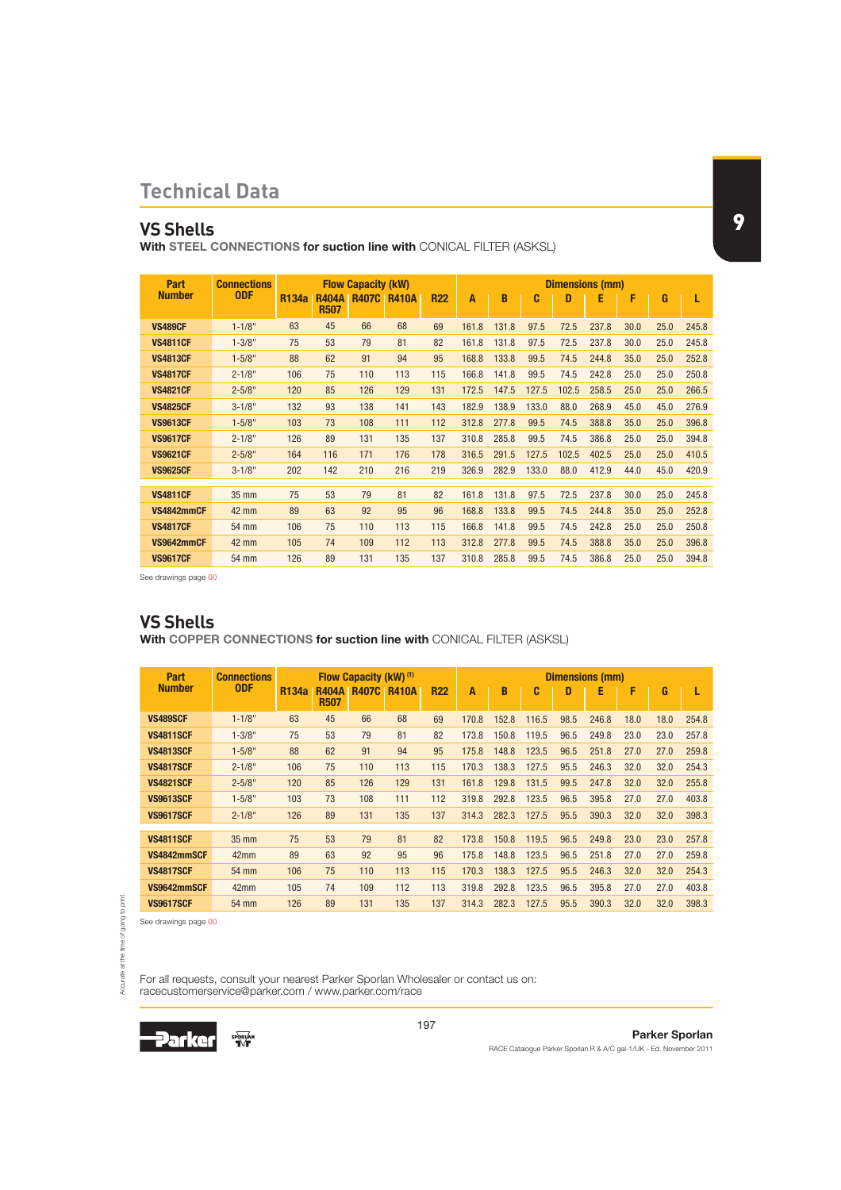### **VS Shells**

With STEEL CONNECTIONS for suction line with CONICAL FILTER (ASKSL)

| Part            | <b>Connections</b> |              | <b>Flow Capacity (kW)</b>   |              |              |            |       |       |       |       | <b>Dimensions (mm)</b> |      |      |       |
|-----------------|--------------------|--------------|-----------------------------|--------------|--------------|------------|-------|-------|-------|-------|------------------------|------|------|-------|
| <b>Number</b>   | <b>ODF</b>         | <b>R134a</b> | <b>R404A</b><br><b>R507</b> | <b>R407C</b> | <b>R410A</b> | <b>R22</b> | A     | B     | C     | D     | Е                      | F    | G    | L     |
| <b>VS489CF</b>  | $1 - 1/8"$         | 63           | 45                          | 66           | 68           | 69         | 161.8 | 131.8 | 97.5  | 72.5  | 237.8                  | 30.0 | 25.0 | 245.8 |
| <b>VS4811CF</b> | $1 - 3/8"$         | 75           | 53                          | 79           | 81           | 82         | 161.8 | 131.8 | 97.5  | 72.5  | 237.8                  | 30.0 | 25.0 | 245.8 |
| <b>VS4813CF</b> | $1 - 5/8"$         | 88           | 62                          | 91           | 94           | 95         | 168.8 | 133.8 | 99.5  | 74.5  | 244.8                  | 35.0 | 25.0 | 252.8 |
| <b>VS4817CF</b> | $2 - 1/8"$         | 106          | 75                          | 110          | 113          | 115        | 166.8 | 141.8 | 99.5  | 74.5  | 242.8                  | 25.0 | 25.0 | 250.8 |
| <b>VS4821CF</b> | $2 - 5/8"$         | 120          | 85                          | 126          | 129          | 131        | 172.5 | 147.5 | 127.5 | 102.5 | 258.5                  | 25.0 | 25.0 | 266.5 |
| <b>VS4825CF</b> | $3 - 1/8"$         | 132          | 93                          | 138          | 141          | 143        | 182.9 | 138.9 | 133.0 | 88.0  | 268.9                  | 45.0 | 45.0 | 276.9 |
| <b>VS9613CF</b> | $1 - 5/8"$         | 103          | 73                          | 108          | 111          | 112        | 312.8 | 277.8 | 99.5  | 74.5  | 388.8                  | 35.0 | 25.0 | 396.8 |
| <b>VS9617CF</b> | $2 - 1/8"$         | 126          | 89                          | 131          | 135          | 137        | 310.8 | 285.8 | 99.5  | 74.5  | 386.8                  | 25.0 | 25.0 | 394.8 |
| <b>VS9621CF</b> | $2 - 5/8"$         | 164          | 116                         | 171          | 176          | 178        | 316.5 | 291.5 | 127.5 | 102.5 | 402.5                  | 25.0 | 25.0 | 410.5 |
| <b>VS9625CF</b> | $3 - 1/8"$         | 202          | 142                         | 210          | 216          | 219        | 326.9 | 282.9 | 133.0 | 88.0  | 412.9                  | 44.0 | 45.0 | 420.9 |
| <b>VS4811CF</b> | 35 mm              | 75           | 53                          | 79           | 81           | 82         | 161.8 | 131.8 | 97.5  | 72.5  | 237.8                  | 30.0 | 25.0 | 245.8 |
| VS4842mmCF      | 42 mm              | 89           | 63                          | 92           | 95           | 96         | 168.8 | 133.8 | 99.5  | 74.5  | 244.8                  | 35.0 | 25.0 | 252.8 |
| <b>VS4817CF</b> | 54 mm              | 106          | 75                          | 110          | 113          | 115        | 166.8 | 141.8 | 99.5  | 74.5  | 242.8                  | 25.0 | 25.0 | 250.8 |
| VS9642mmCF      | 42 mm              | 105          | 74                          | 109          | 112          | 113        | 312.8 | 277.8 | 99.5  | 74.5  | 388.8                  | 35.0 | 25.0 | 396.8 |
|                 |                    |              |                             |              |              |            |       |       |       |       |                        |      |      |       |
| <b>VS9617CF</b> | 54 mm              | 126          | 89                          | 131          | 135          | 137        | 310.8 | 285.8 | 99.5  | 74.5  | 386.8                  | 25.0 | 25.0 | 394.8 |

See drawings page 00

### **VS Shells**

With COPPER CONNECTIONS for suction line with CONICAL FILTER (ASKSL)

| Part             | <b>Connections</b> |              |                             | <b>Flow Capacity (kW) (1)</b> |              |            |       |       |       |      | <b>Dimensions (mm)</b> |      |      |       |
|------------------|--------------------|--------------|-----------------------------|-------------------------------|--------------|------------|-------|-------|-------|------|------------------------|------|------|-------|
| <b>Number</b>    | <b>ODF</b>         | <b>R134a</b> | <b>R404A</b><br><b>R507</b> | <b>R407C</b>                  | <b>R410A</b> | <b>R22</b> | A     | B     | C     | D    | Ε                      | F    | G    | L     |
| <b>VS489SCF</b>  | $1 - 1/8"$         | 63           | 45                          | 66                            | 68           | 69         | 170.8 | 152.8 | 116.5 | 98.5 | 246.8                  | 18.0 | 18.0 | 254.8 |
| <b>VS4811SCF</b> | $1 - 3/8"$         | 75           | 53                          | 79                            | 81           | 82         | 173.8 | 150.8 | 119.5 | 96.5 | 249.8                  | 23.0 | 23.0 | 257.8 |
| <b>VS4813SCF</b> | $1 - 5/8"$         | 88           | 62                          | 91                            | 94           | 95         | 175.8 | 148.8 | 123.5 | 96.5 | 251.8                  | 27.0 | 27.0 | 259.8 |
| <b>VS4817SCF</b> | $2 - 1/8"$         | 106          | 75                          | 110                           | 113          | 115        | 170.3 | 138.3 | 127.5 | 95.5 | 246.3                  | 32.0 | 32.0 | 254.3 |
| <b>VS4821SCF</b> | $2 - 5/8"$         | 120          | 85                          | 126                           | 129          | 131        | 161.8 | 129.8 | 131.5 | 99.5 | 247.8                  | 32.0 | 32.0 | 255.8 |
| <b>VS9613SCF</b> | $1 - 5/8"$         | 103          | 73                          | 108                           | 111          | 112        | 319.8 | 292.8 | 123.5 | 96.5 | 395.8                  | 27.0 | 27.0 | 403.8 |
| <b>VS9617SCF</b> | $2 - 1/8"$         | 126          | 89                          | 131                           | 135          | 137        | 314.3 | 282.3 | 127.5 | 95.5 | 390.3                  | 32.0 | 32.0 | 398.3 |
| <b>VS4811SCF</b> | $35 \text{ mm}$    | 75           | 53                          | 79                            | 81           | 82         | 173.8 | 150.8 | 119.5 | 96.5 | 249.8                  | 23.0 | 23.0 | 257.8 |
|                  |                    |              |                             |                               |              |            |       |       |       |      |                        |      |      |       |
| VS4842mmSCF      | 42 <sub>mm</sub>   | 89           | 63                          | 92                            | 95           | 96         | 175.8 | 148.8 | 123.5 | 96.5 | 251.8                  | 27.0 | 27.0 | 259.8 |
| <b>VS4817SCF</b> | 54 mm              | 106          | 75                          | 110                           | 113          | 115        | 170.3 | 138.3 | 127.5 | 95.5 | 246.3                  | 32.0 | 32.0 | 254.3 |
| VS9642mmSCF      | 42mm               | 105          | 74                          | 109                           | 112          | 113        | 319.8 | 292.8 | 123.5 | 96.5 | 395.8                  | 27.0 | 27.0 | 403.8 |
| <b>VS9617SCF</b> | <b>54 mm</b>       | 126          | 89                          | 131                           | 135          | 137        | 314.3 | 282.3 | 127.5 | 95.5 | 390.3                  | 32.0 | 32.0 | 398.3 |

See drawings page 00

Accurate at the time of going to print.

Accurate at the time of going to print.

For all requests, consult your nearest Parker Sporlan Wholesaler or contact us on: racecustomerservice@parker.com / www.parker.com/race

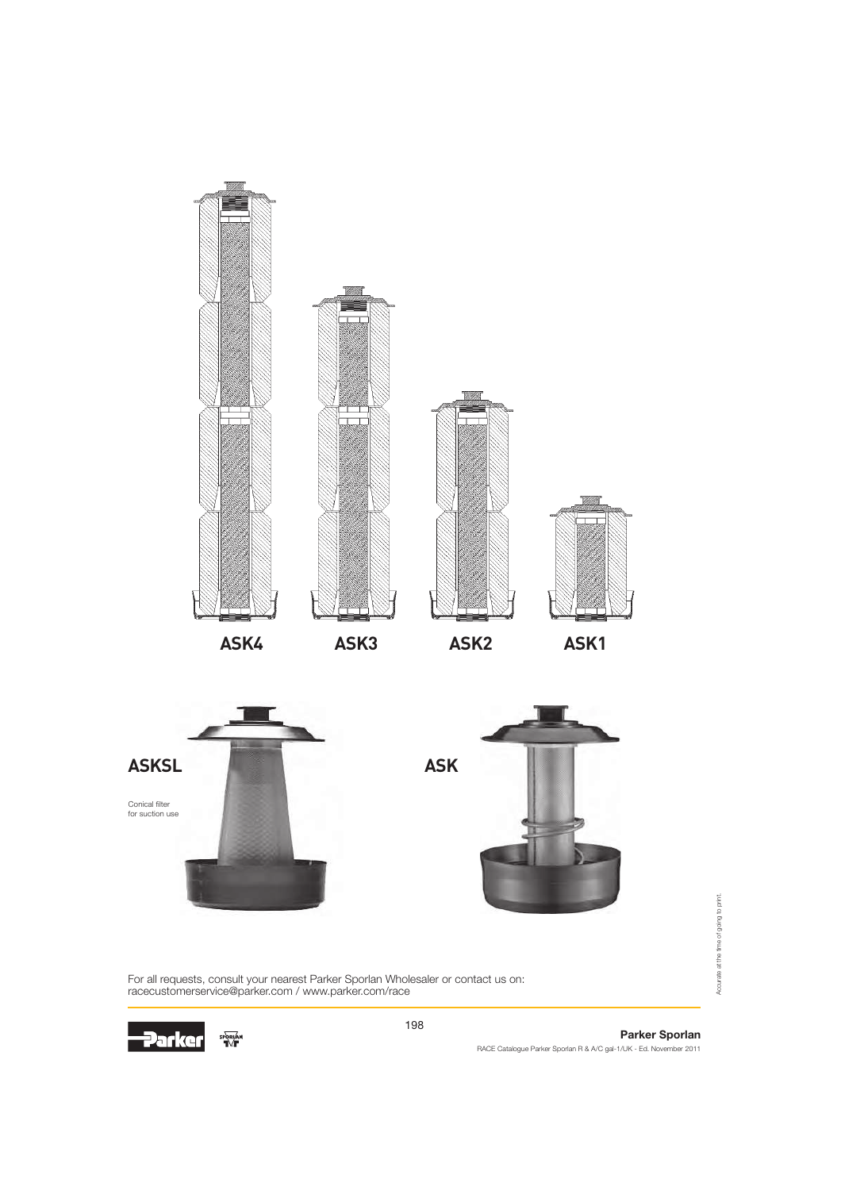

For all requests, consult your nearest Parker Sporlan Wholesaler or contact us on: racecustomerservice@parker.com / www.parker.com/race



198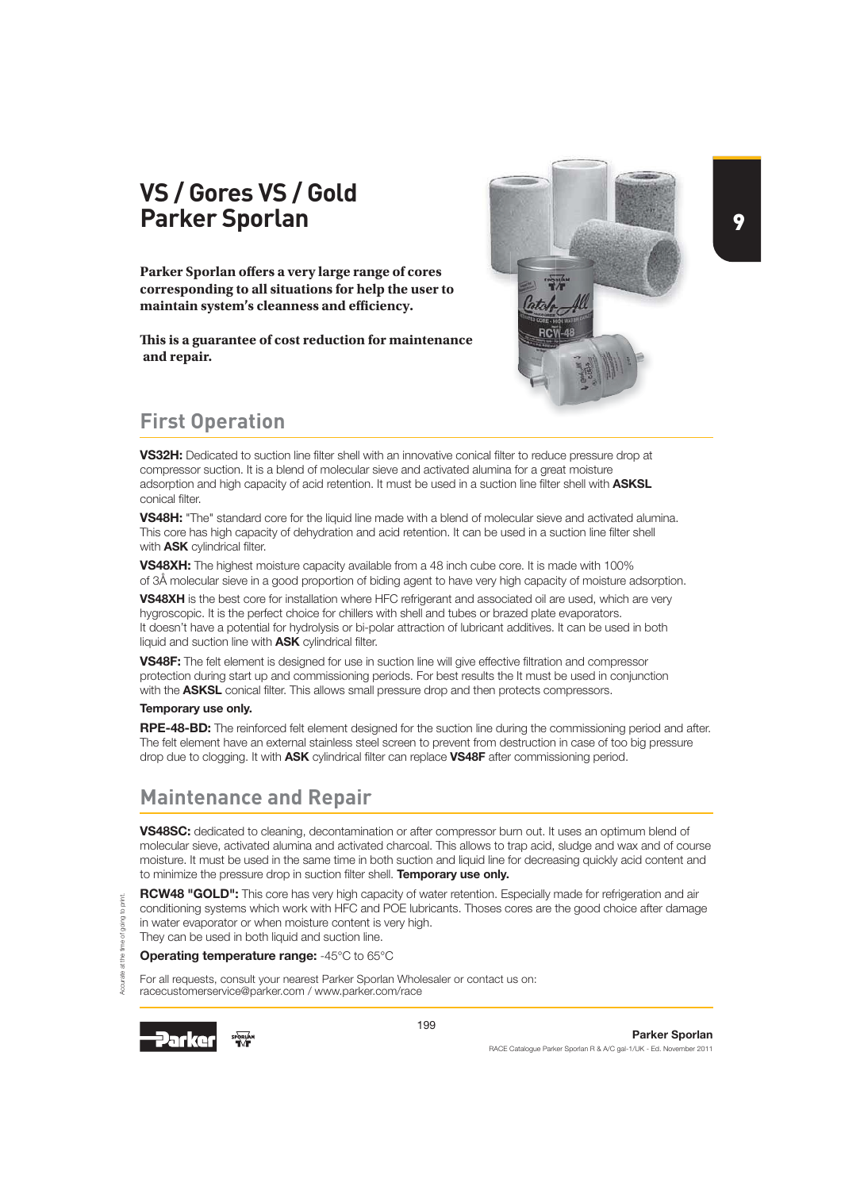# **VS / Gores VS / Gold Parker Sporlan**

**Parker Sporlan offers a very large range of cores corresponding to all situations for help the user to**  maintain system's cleanness and efficiency.

This is a guarantee of cost reduction for maintenance  **and repair.**



9

# **First Operation**

VS32H: Dedicated to suction line filter shell with an innovative conical filter to reduce pressure drop at compressor suction. It is a blend of molecular sieve and activated alumina for a great moisture adsorption and high capacity of acid retention. It must be used in a suction line filter shell with ASKSL conical filter.

VS48H: "The" standard core for the liquid line made with a blend of molecular sieve and activated alumina. This core has high capacity of dehydration and acid retention. It can be used in a suction line filter shell with **ASK** cylindrical filter.

VS48XH: The highest moisture capacity available from a 48 inch cube core. It is made with 100% of 3Å molecular sieve in a good proportion of biding agent to have very high capacity of moisture adsorption.

VS48XH is the best core for installation where HFC refrigerant and associated oil are used, which are very hygroscopic. It is the perfect choice for chillers with shell and tubes or brazed plate evaporators. It doesn't have a potential for hydrolysis or bi-polar attraction of lubricant additives. It can be used in both liquid and suction line with ASK cylindrical filter.

VS48F: The felt element is designed for use in suction line will give effective filtration and compressor protection during start up and commissioning periods. For best results the It must be used in conjunction with the **ASKSL** conical filter. This allows small pressure drop and then protects compressors.

#### Temporary use only.

RPE-48-BD: The reinforced felt element designed for the suction line during the commissioning period and after. The felt element have an external stainless steel screen to prevent from destruction in case of too big pressure drop due to clogging. It with ASK cylindrical filter can replace VS48F after commissioning period.

# **Maintenance and Repair**

VS48SC: dedicated to cleaning, decontamination or after compressor burn out. It uses an optimum blend of molecular sieve, activated alumina and activated charcoal. This allows to trap acid, sludge and wax and of course moisture. It must be used in the same time in both suction and liquid line for decreasing quickly acid content and to minimize the pressure drop in suction filter shell. Temporary use only.

RCW48 "GOLD": This core has very high capacity of water retention. Especially made for refrigeration and air conditioning systems which work with HFC and POE lubricants. Thoses cores are the good choice after damage in water evaporator or when moisture content is very high. They can be used in both liquid and suction line.

Operating temperature range: -45°C to 65°C

For all requests, consult your nearest Parker Sporlan Wholesaler or contact us on: racecustomerservice@parker.com / www.parker.com/race



Accurate at the time of going to print.

**P** 

porint.

199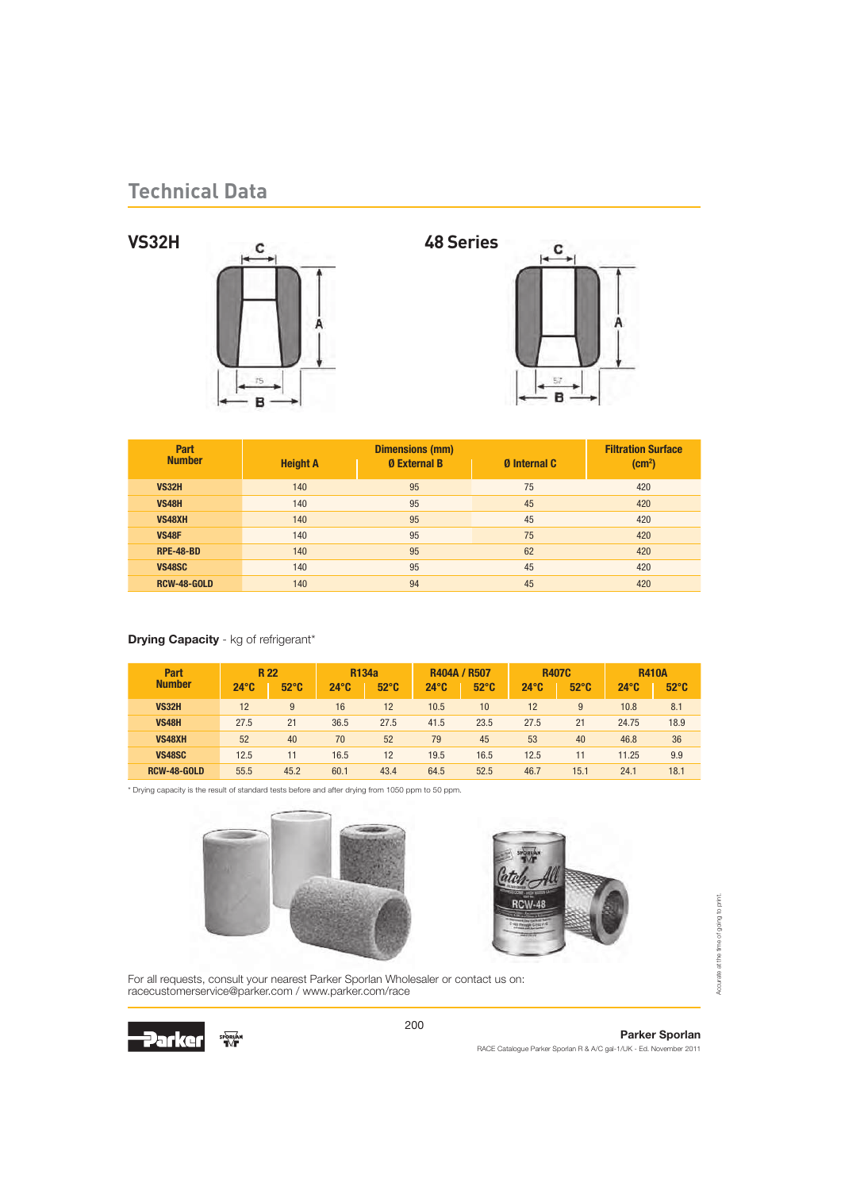



| Part             |                 | <b>Dimensions (mm)</b> |                     | <b>Filtration Surface</b> |
|------------------|-----------------|------------------------|---------------------|---------------------------|
| <b>Number</b>    | <b>Height A</b> | <b>0 External B</b>    | <b>Ø</b> Internal C | (cm <sup>2</sup> )        |
| <b>VS32H</b>     | 140             | 95                     | 75                  | 420                       |
| <b>VS48H</b>     | 140             | 95                     | 45                  | 420                       |
| <b>VS48XH</b>    | 140             | 95                     | 45                  | 420                       |
| <b>VS48F</b>     | 140             | 95                     | 75                  | 420                       |
| <b>RPE-48-BD</b> | 140             | 95                     | 62                  | 420                       |
| <b>VS48SC</b>    | 140             | 95                     | 45                  | 420                       |
| RCW-48-GOLD      | 140             | 94                     | 45                  | 420                       |

### Drying Capacity - kg of refrigerant\*

| Part<br><b>Number</b> | $24^\circ$ C | <b>R22</b><br>$52^{\circ}$ C | $24^\circ$ C | <b>R134a</b><br>$52^{\circ}$ C | <b>R404A / R507</b><br>$24^\circ$ C | $52^{\circ}$ C | $24^\circ$ C | <b>R407C</b><br>$52^{\circ}$ C | $24^\circ$ <sub>C</sub> | <b>R410A</b><br>$52^{\circ}$ C |
|-----------------------|--------------|------------------------------|--------------|--------------------------------|-------------------------------------|----------------|--------------|--------------------------------|-------------------------|--------------------------------|
| <b>VS32H</b>          | 12           | 9                            | 16           | 12                             | 10.5                                | 10             | 12           | 9                              | 10.8                    | 8.1                            |
| <b>VS48H</b>          | 27.5         | 21                           | 36.5         | 27.5                           | 41.5                                | 23.5           | 27.5         | 21                             | 24.75                   | 18.9                           |
| <b>VS48XH</b>         | 52           | 40                           | 70           | 52                             | 79                                  | 45             | 53           | 40                             | 46.8                    | 36                             |
| <b>VS48SC</b>         | 12.5         | 11                           | 16.5         | 12                             | 19.5                                | 16.5           | 12.5         | 11                             | 11.25                   | 9.9                            |
| <b>RCW-48-GOLD</b>    | 55.5         | 45.2                         | 60.1         | 43.4                           | 64.5                                | 52.5           | 46.7         | 15.1                           | 24.1                    | 18.1                           |

\* Drying capacity is the result of standard tests before and after drying from 1050 ppm to 50 ppm.





For all requests, consult your nearest Parker Sporlan Wholesaler or contact us on: racecustomerservice@parker.com / www.parker.com/race

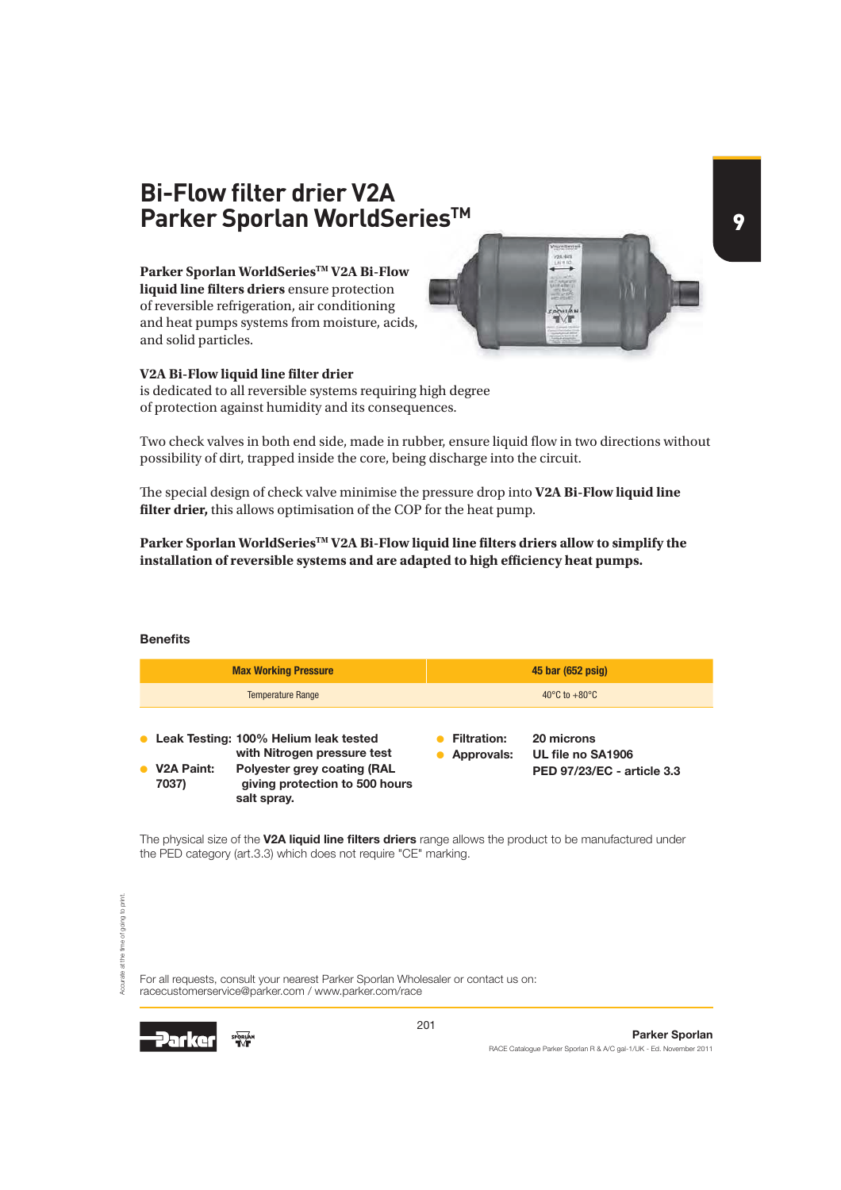# **Bi-Flow filter drier V2A Parker Sporlan WorldSeriesTM**

**Parker Sporlan WorldSeriesTM V2A Bi-Flow liquid line filters driers** ensure protection of reversible refrigeration, air conditioning and heat pumps systems from moisture, acids, and solid particles.

### **V2A Bi-Flow liquid line filter drier**

is dedicated to all reversible systems requiring high degree of protection against humidity and its consequences.

Two check valves in both end side, made in rubber, ensure liquid flow in two directions without possibility of dirt, trapped inside the core, being discharge into the circuit.

 $\frac{1}{2}$ 

The special design of check valve minimise the pressure drop into V2A Bi-Flow liquid line filter drier, this allows optimisation of the COP for the heat pump.

Parker Sporlan WorldSeries<sup>TM</sup> V2A Bi-Flow liquid line filters driers allow to simplify the installation of reversible systems and are adapted to high efficiency heat pumps.

### **Benefits**

|                                  | <b>Max Working Pressure</b>                                                                                                                                   |                                  | 45 bar (652 psig)                                             |
|----------------------------------|---------------------------------------------------------------------------------------------------------------------------------------------------------------|----------------------------------|---------------------------------------------------------------|
|                                  | <b>Temperature Range</b>                                                                                                                                      |                                  | 40 $\mathrm{^{\circ}C}$ to $+80\mathrm{^{\circ}C}$            |
| V <sub>2</sub> A Paint:<br>7037) | • Leak Testing: 100% Helium leak tested<br>with Nitrogen pressure test<br><b>Polyester grey coating (RAL</b><br>giving protection to 500 hours<br>salt spray. | <b>Filtration:</b><br>Approvals: | 20 microns<br>UL file no SA1906<br>PED 97/23/EC - article 3.3 |

The physical size of the V2A liquid line filters driers range allows the product to be manufactured under the PED category (art.3.3) which does not require "CE" marking.

For all requests, consult your nearest Parker Sporlan Wholesaler or contact us on: racecustomerservice@parker.com / www.parker.com/race